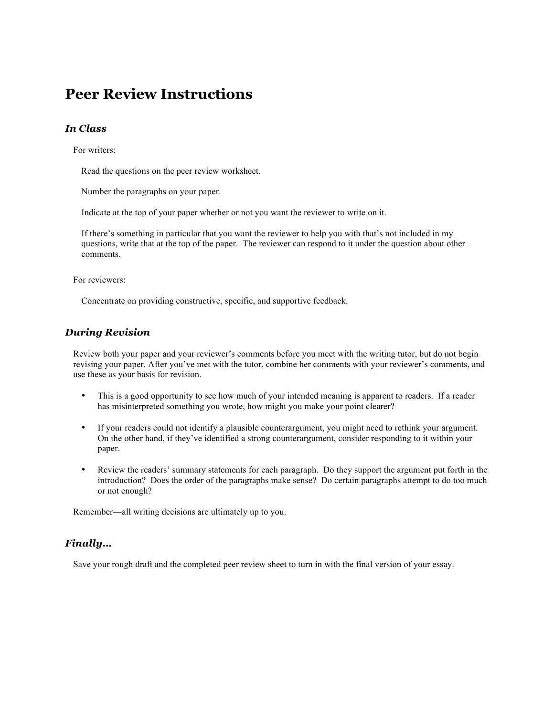# **Peer Review Instructions**

### *In Class*

For writers:

Read the questions on the peer review worksheet.

Number the paragraphs on your paper.

Indicate at the top of your paper whether or not you want the reviewer to write on it.

If there's something in particular that you want the reviewer to help you with that's not included in my questions, write that at the top of the paper. The reviewer can respond to it under the question about other comments.

For reviewers:

Concentrate on providing constructive, specific, and supportive feedback.

#### *During Revision*

Review both your paper and your reviewer's comments before you meet with the writing tutor, but do not begin revising your paper. After you've met with the tutor, combine her comments with your reviewer's comments, and use these as your basis for revision.

- This is a good opportunity to see how much of your intended meaning is apparent to readers. If a reader has misinterpreted something you wrote, how might you make your point clearer?
- If your readers could not identify a plausible counterargument, you might need to rethink your argument. On the other hand, if they've identified a strong counterargument, consider responding to it within your paper.
- Review the readers' summary statements for each paragraph. Do they support the argument put forth in the introduction? Does the order of the paragraphs make sense? Do certain paragraphs attempt to do too much or not enough?

Remember—all writing decisions are ultimately up to you.

#### *Finally…*

Save your rough draft and the completed peer review sheet to turn in with the final version of your essay.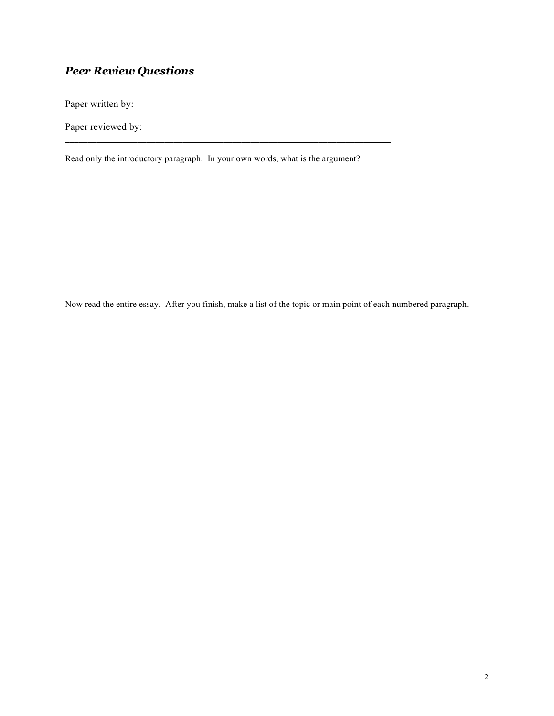## *Peer Review Questions*

Paper written by:

Paper reviewed by:

Read only the introductory paragraph. In your own words, what is the argument?

Now read the entire essay. After you finish, make a list of the topic or main point of each numbered paragraph.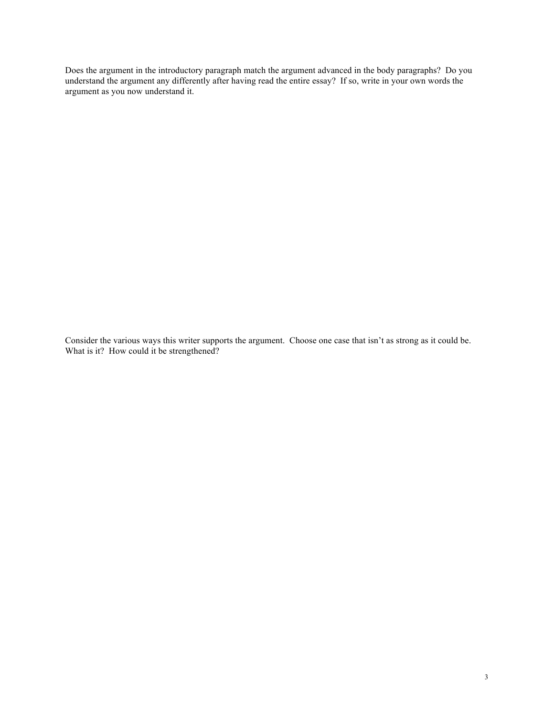Does the argument in the introductory paragraph match the argument advanced in the body paragraphs? Do you understand the argument any differently after having read the entire essay? If so, write in your own words the argument as you now understand it.

Consider the various ways this writer supports the argument. Choose one case that isn't as strong as it could be. What is it? How could it be strengthened?